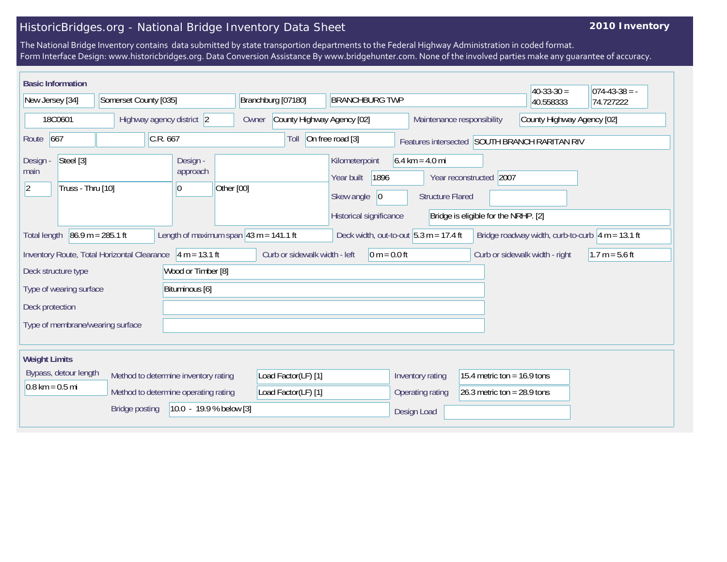## HistoricBridges.org - National Bridge Inventory Data Sheet

## **2010 Inventory**

The National Bridge Inventory contains data submitted by state transportion departments to the Federal Highway Administration in coded format. Form Interface Design: www.historicbridges.org. Data Conversion Assistance By www.bridgehunter.com. None of the involved parties make any guarantee of accuracy.

| <b>Basic Information</b>                                          |                                                           |                                                           |                                     |                                                                                              |                                                              |                                                                 | $40-33-30=$                                               | $074-43-38 = -$  |
|-------------------------------------------------------------------|-----------------------------------------------------------|-----------------------------------------------------------|-------------------------------------|----------------------------------------------------------------------------------------------|--------------------------------------------------------------|-----------------------------------------------------------------|-----------------------------------------------------------|------------------|
| New Jersey [34]<br>Somerset County [035]                          |                                                           | Branchburg [07180]<br><b>BRANCHBURG TWP</b>               |                                     |                                                                                              | 40.558333                                                    | 74.727222                                                       |                                                           |                  |
| 18C0601<br>Highway agency district 2                              |                                                           |                                                           | County Highway Agency [02]<br>Owner |                                                                                              | Maintenance responsibility                                   | County Highway Agency [02]                                      |                                                           |                  |
| 667<br>Route                                                      | C.R.667                                                   |                                                           | Toll                                | On free road [3]                                                                             |                                                              | Features intersected SOUTH BRANCH RARITAN RIV                   |                                                           |                  |
| Steel [3]<br>Design -<br>main<br>Truss - Thru [10]<br>$ 2\rangle$ |                                                           | Design -<br>approach<br>Other [00]<br> 0                  |                                     | Kilometerpoint<br>Year built<br>1896<br>Skew angle<br>$ 0\rangle$<br>Historical significance | $6.4 \text{ km} = 4.0 \text{ mi}$<br><b>Structure Flared</b> | Year reconstructed 2007<br>Bridge is eligible for the NRHP. [2] |                                                           |                  |
| <b>Total length</b>                                               | $86.9 m = 285.1 ft$                                       | Length of maximum span $ 43 \text{ m} = 141.1 \text{ ft}$ |                                     | Deck width, out-to-out $5.3 m = 17.4 ft$                                                     |                                                              |                                                                 | Bridge roadway width, curb-to-curb $\sqrt{4}$ m = 13.1 ft |                  |
|                                                                   | Inventory Route, Total Horizontal Clearance 4 m = 13.1 ft |                                                           | Curb or sidewalk width - left       | $0 m = 0.0 ft$                                                                               |                                                              |                                                                 | Curb or sidewalk width - right                            | $1.7 m = 5.6 ft$ |
| Deck structure type                                               |                                                           | Wood or Timber [8]                                        |                                     |                                                                                              |                                                              |                                                                 |                                                           |                  |
| Bituminous [6]<br>Type of wearing surface                         |                                                           |                                                           |                                     |                                                                                              |                                                              |                                                                 |                                                           |                  |
| Deck protection                                                   |                                                           |                                                           |                                     |                                                                                              |                                                              |                                                                 |                                                           |                  |
| Type of membrane/wearing surface                                  |                                                           |                                                           |                                     |                                                                                              |                                                              |                                                                 |                                                           |                  |
| <b>Weight Limits</b>                                              |                                                           |                                                           |                                     |                                                                                              |                                                              |                                                                 |                                                           |                  |
| Bypass, detour length                                             |                                                           | Method to determine inventory rating                      | Load Factor(LF) [1]                 |                                                                                              | Inventory rating                                             | 15.4 metric ton = $16.9$ tons                                   |                                                           |                  |
| $0.8 \text{ km} = 0.5 \text{ mi}$                                 |                                                           | Method to determine operating rating                      | Load Factor(LF) [1]                 |                                                                                              | Operating rating                                             | 26.3 metric ton = $28.9$ tons                                   |                                                           |                  |
| 10.0 - 19.9 % below [3]<br><b>Bridge posting</b>                  |                                                           |                                                           |                                     | Design Load                                                                                  |                                                              |                                                                 |                                                           |                  |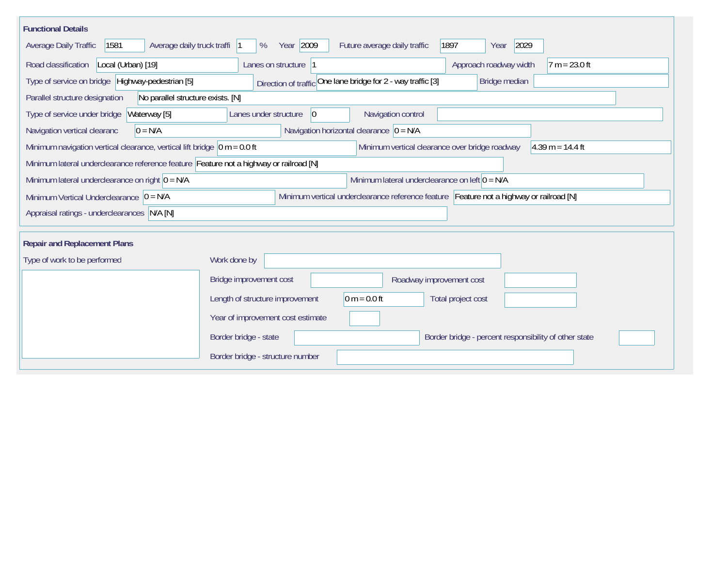| <b>Functional Details</b>                                                              |                                                                                         |
|----------------------------------------------------------------------------------------|-----------------------------------------------------------------------------------------|
| 1581<br>Average daily truck traffi<br>Average Daily Traffic                            | Year 2009<br>2029<br>Future average daily traffic<br>1897<br>%<br>Year                  |
| Road classification<br>Local (Urban) [19]                                              | Approach roadway width<br>Lanes on structure 1<br>$7 m = 23.0 ft$                       |
| Type of service on bridge Highway-pedestrian [5]                                       | Direction of traffic One lane bridge for 2 - way traffic [3]<br>Bridge median           |
| Parallel structure designation<br>No parallel structure exists. [N]                    |                                                                                         |
| Type of service under bridge<br>Waterway [5]                                           | Navigation control<br>Lanes under structure<br>$ 0\rangle$                              |
| $0 = N/A$<br>Navigation vertical clearanc                                              | Navigation horizontal clearance $ 0 = N/A$                                              |
| Minimum navigation vertical clearance, vertical lift bridge $\vert$ 0 m = 0.0 ft       | Minimum vertical clearance over bridge roadway<br>$4.39 m = 14.4 ft$                    |
| Minimum lateral underclearance reference feature Feature not a highway or railroad [N] |                                                                                         |
| Minimum lateral underclearance on right $0 = N/A$                                      | Minimum lateral underclearance on left $0 = N/A$                                        |
| Minimum Vertical Underclearance $ 0 = N/A$                                             | Minimum vertical underclearance reference feature Feature not a highway or railroad [N] |
| Appraisal ratings - underclearances N/A [N]                                            |                                                                                         |
|                                                                                        |                                                                                         |
| <b>Repair and Replacement Plans</b>                                                    |                                                                                         |
| Type of work to be performed                                                           | Work done by                                                                            |
|                                                                                        | Bridge improvement cost<br>Roadway improvement cost                                     |
|                                                                                        | Length of structure improvement<br>$0 m = 0.0 ft$<br>Total project cost                 |
|                                                                                        | Year of improvement cost estimate                                                       |
|                                                                                        | Border bridge - state<br>Border bridge - percent responsibility of other state          |
|                                                                                        | Border bridge - structure number                                                        |